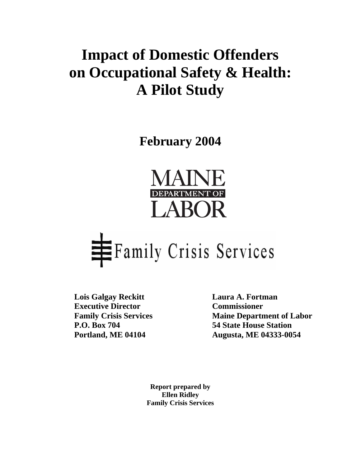## **Impact of Domestic Offenders on Occupational Safety & Health: A Pilot Study**

**February 2004** 





Lois Galgay Reckitt Laura A. Fortman **Executive Director Commissioner** 

**Family Crisis Services** Maine Department of Labor **P.O. Box 704 54 State House Station Portland, ME 04104 Augusta, ME 04333-0054** 

> **Report prepared by Ellen Ridley Family Crisis Services**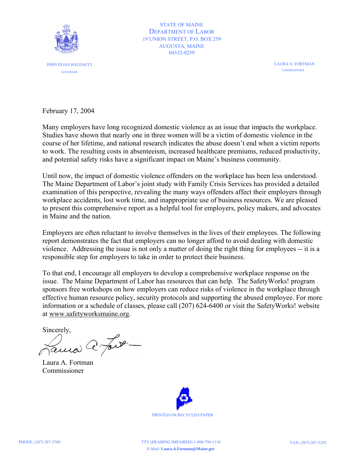

STATE OF MAINE DEPARTMENT OF LABOR 19 UNION STREET, P.O. BOX 259 AUGUSTA, MAINE 04332-0259

> LAURA A. FORTMAN **COMMISSIONER**

February 17, 2004

Many employers have long recognized domestic violence as an issue that impacts the workplace. Studies have shown that nearly one in three women will be a victim of domestic violence in the course of her lifetime, and national research indicates the abuse doesn't end when a victim reports to work. The resulting costs in absenteeism, increased healthcare premiums, reduced productivity, and potential safety risks have a significant impact on Maine's business community.

Until now, the impact of domestic violence offenders on the workplace has been less understood. The Maine Department of Labor's joint study with Family Crisis Services has provided a detailed examination of this perspective, revealing the many ways offenders affect their employers through workplace accidents, lost work time, and inappropriate use of business resources. We are pleased to present this comprehensive report as a helpful tool for employers, policy makers, and advocates in Maine and the nation.

Employers are often reluctant to involve themselves in the lives of their employees. The following report demonstrates the fact that employers can no longer afford to avoid dealing with domestic violence. Addressing the issue is not only a matter of doing the right thing for employees -- it is a responsible step for employers to take in order to protect their business.

To that end, I encourage all employers to develop a comprehensive workplace response on the issue. The Maine Department of Labor has resources that can help. The SafetyWorks! program sponsors free workshops on how employers can reduce risks of violence in the workplace through effective human resource policy, security protocols and supporting the abused employee. For more information or a schedule of classes, please call (207) 624-6400 or visit the SafetyWorks! website at [www.safetyworksmaine.org.](http://www.safetyworksmaine.org/)

Sincerely,<br>Fama C. Fort  $\overline{\phantom{a}}$ 

Laura A. Fortman Commissioner

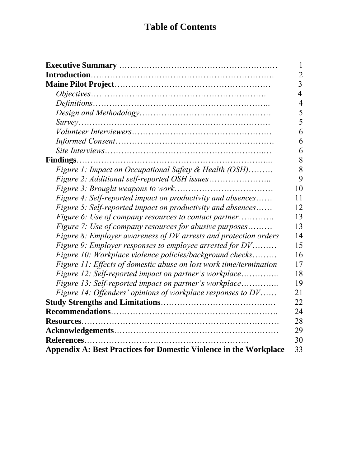## **Table of Contents**

|                                                                          | 1              |
|--------------------------------------------------------------------------|----------------|
|                                                                          | $\overline{2}$ |
|                                                                          | $\overline{3}$ |
|                                                                          | $\overline{4}$ |
|                                                                          | $\overline{4}$ |
|                                                                          | 5              |
|                                                                          | 5              |
|                                                                          | 6              |
|                                                                          | 6              |
|                                                                          | 6              |
|                                                                          | 8              |
| Figure 1: Impact on Occupational Safety & Health (OSH)                   | 8              |
|                                                                          | 9              |
|                                                                          | 10             |
| Figure 4: Self-reported impact on productivity and absences              | 11             |
| Figure 5: Self-reported impact on productivity and absences              | 12             |
| Figure 6: Use of company resources to contact partner                    | 13             |
| Figure 7: Use of company resources for abusive purposes                  | 13             |
| Figure 8: Employer awareness of DV arrests and protection orders         | 14             |
| Figure 9: Employer responses to employee arrested for DV                 | 15             |
| Figure 10: Workplace violence policies/background checks                 | 16             |
| Figure 11: Effects of domestic abuse on lost work time/termination       | 17             |
| Figure 12: Self-reported impact on partner's workplace                   | 18             |
| Figure 13: Self-reported impact on partner's workplace                   | 19             |
| Figure 14: Offenders' opinions of workplace responses to DV              | 21             |
|                                                                          | 22             |
|                                                                          | 24             |
|                                                                          | 28             |
|                                                                          | 29             |
|                                                                          | 30             |
| <b>Appendix A: Best Practices for Domestic Violence in the Workplace</b> | 33             |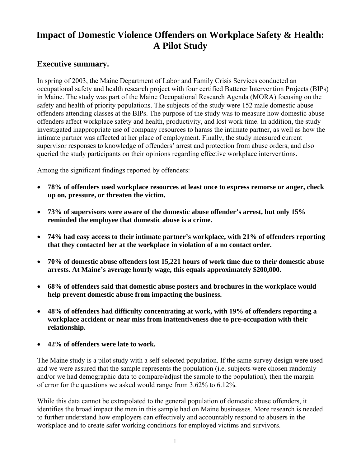### **Impact of Domestic Violence Offenders on Workplace Safety & Health: A Pilot Study**

#### **Executive summary.**

In spring of 2003, the Maine Department of Labor and Family Crisis Services conducted an occupational safety and health research project with four certified Batterer Intervention Projects (BIPs) in Maine. The study was part of the Maine Occupational Research Agenda (MORA) focusing on the safety and health of priority populations. The subjects of the study were 152 male domestic abuse offenders attending classes at the BIPs. The purpose of the study was to measure how domestic abuse offenders affect workplace safety and health, productivity, and lost work time. In addition, the study investigated inappropriate use of company resources to harass the intimate partner, as well as how the intimate partner was affected at her place of employment. Finally, the study measured current supervisor responses to knowledge of offenders' arrest and protection from abuse orders, and also queried the study participants on their opinions regarding effective workplace interventions.

Among the significant findings reported by offenders:

- **78% of offenders used workplace resources at least once to express remorse or anger, check up on, pressure, or threaten the victim.**
- **73% of supervisors were aware of the domestic abuse offender's arrest, but only 15% reminded the employee that domestic abuse is a crime.**
- **74% had easy access to their intimate partner's workplace, with 21% of offenders reporting that they contacted her at the workplace in violation of a no contact order.**
- **70% of domestic abuse offenders lost 15,221 hours of work time due to their domestic abuse arrests. At Maine's average hourly wage, this equals approximately \$200,000.**
- **68% of offenders said that domestic abuse posters and brochures in the workplace would help prevent domestic abuse from impacting the business.**
- **48% of offenders had difficulty concentrating at work, with 19% of offenders reporting a workplace accident or near miss from inattentiveness due to pre-occupation with their relationship.**
- **42% of offenders were late to work.**

The Maine study is a pilot study with a self-selected population. If the same survey design were used and we were assured that the sample represents the population (i.e. subjects were chosen randomly and/or we had demographic data to compare/adjust the sample to the population), then the margin of error for the questions we asked would range from 3.62% to 6.12%.

While this data cannot be extrapolated to the general population of domestic abuse offenders, it identifies the broad impact the men in this sample had on Maine businesses. More research is needed to further understand how employers can effectively and accountably respond to abusers in the workplace and to create safer working conditions for employed victims and survivors.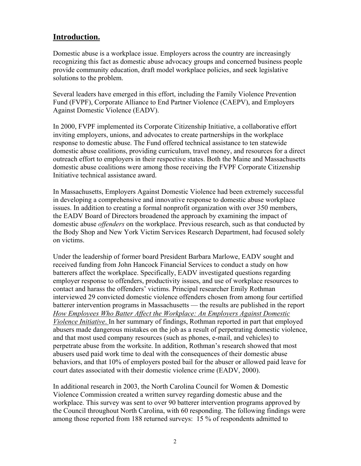#### **Introduction.**

Domestic abuse is a workplace issue. Employers across the country are increasingly recognizing this fact as domestic abuse advocacy groups and concerned business people provide community education, draft model workplace policies, and seek legislative solutions to the problem.

Several leaders have emerged in this effort, including the Family Violence Prevention Fund (FVPF), Corporate Alliance to End Partner Violence (CAEPV), and Employers Against Domestic Violence (EADV).

In 2000, FVPF implemented its Corporate Citizenship Initiative, a collaborative effort inviting employers, unions, and advocates to create partnerships in the workplace response to domestic abuse. The Fund offered technical assistance to ten statewide domestic abuse coalitions, providing curriculum, travel money, and resources for a direct outreach effort to employers in their respective states. Both the Maine and Massachusetts domestic abuse coalitions were among those receiving the FVPF Corporate Citizenship Initiative technical assistance award.

In Massachusetts, Employers Against Domestic Violence had been extremely successful in developing a comprehensive and innovative response to domestic abuse workplace issues. In addition to creating a formal nonprofit organization with over 350 members, the EADV Board of Directors broadened the approach by examining the impact of domestic abuse *offenders* on the workplace. Previous research, such as that conducted by the Body Shop and New York Victim Services Research Department, had focused solely on victims.

Under the leadership of former board President Barbara Marlowe, EADV sought and received funding from John Hancock Financial Services to conduct a study on how batterers affect the workplace. Specifically, EADV investigated questions regarding employer response to offenders, productivity issues, and use of workplace resources to contact and harass the offenders' victims. Principal researcher Emily Rothman interviewed 29 convicted domestic violence offenders chosen from among four certified batterer intervention programs in Massachusetts — the results are published in the report *How Employees Who Batter Affect the Workplace: An Employers Against Domestic Violence Initiative*. In her summary of findings, Rothman reported in part that employed abusers made dangerous mistakes on the job as a result of perpetrating domestic violence, and that most used company resources (such as phones, e-mail, and vehicles) to perpetrate abuse from the worksite. In addition, Rothman's research showed that most abusers used paid work time to deal with the consequences of their domestic abuse behaviors, and that 10% of employers posted bail for the abuser or allowed paid leave for court dates associated with their domestic violence crime (EADV, 2000).

In additional research in 2003, the North Carolina Council for Women & Domestic Violence Commission created a written survey regarding domestic abuse and the workplace. This survey was sent to over 90 batterer intervention programs approved by the Council throughout North Carolina, with 60 responding. The following findings were among those reported from 188 returned surveys: 15 % of respondents admitted to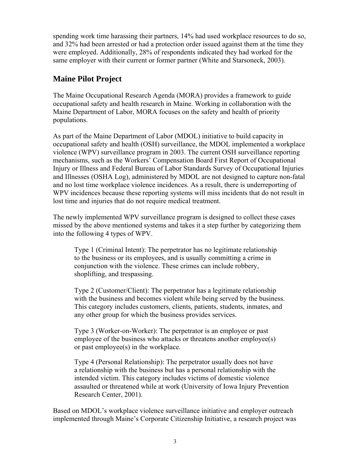spending work time harassing their partners, 14% had used workplace resources to do so, and 32% had been arrested or had a protection order issued against them at the time they were employed. Additionally, 28% of respondents indicated they had worked for the same employer with their current or former partner (White and Starsoneck, 2003).

#### **Maine Pilot Project**

The Maine Occupational Research Agenda (MORA) provides a framework to guide occupational safety and health research in Maine. Working in collaboration with the Maine Department of Labor, MORA focuses on the safety and health of priority populations.

As part of the Maine Department of Labor (MDOL) initiative to build capacity in occupational safety and health (OSH) surveillance, the MDOL implemented a workplace violence (WPV) surveillance program in 2003. The current OSH surveillance reporting mechanisms, such as the Workers' Compensation Board First Report of Occupational Injury or Illness and Federal Bureau of Labor Standards Survey of Occupational Injuries and Illnesses (OSHA Log), administered by MDOL are not designed to capture non-fatal and no lost time workplace violence incidences. As a result, there is underreporting of WPV incidences because these reporting systems will miss incidents that do not result in lost time and injuries that do not require medical treatment.

The newly implemented WPV surveillance program is designed to collect these cases missed by the above mentioned systems and takes it a step further by categorizing them into the following 4 types of WPV.

Type 1 (Criminal Intent): The perpetrator has no legitimate relationship to the business or its employees, and is usually committing a crime in conjunction with the violence. These crimes can include robbery, shoplifting, and trespassing.

Type 2 (Customer/Client): The perpetrator has a legitimate relationship with the business and becomes violent while being served by the business. This category includes customers, clients, patients, students, inmates, and any other group for which the business provides services.

Type 3 (Worker-on-Worker): The perpetrator is an employee or past employee of the business who attacks or threatens another employee(s) or past employee(s) in the workplace.

Type 4 (Personal Relationship): The perpetrator usually does not have a relationship with the business but has a personal relationship with the intended victim. This category includes victims of domestic violence assaulted or threatened while at work (University of Iowa Injury Prevention Research Center, 2001).

Based on MDOL's workplace violence surveillance initiative and employer outreach implemented through Maine's Corporate Citizenship Initiative, a research project was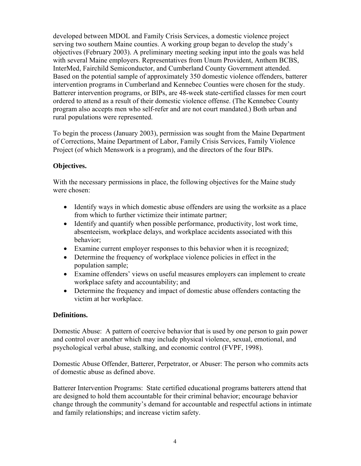developed between MDOL and Family Crisis Services, a domestic violence project serving two southern Maine counties. A working group began to develop the study's objectives (February 2003). A preliminary meeting seeking input into the goals was held with several Maine employers. Representatives from Unum Provident, Anthem BCBS, InterMed, Fairchild Semiconductor, and Cumberland County Government attended. Based on the potential sample of approximately 350 domestic violence offenders, batterer intervention programs in Cumberland and Kennebec Counties were chosen for the study. Batterer intervention programs, or BIPs, are 48-week state-certified classes for men court ordered to attend as a result of their domestic violence offense. (The Kennebec County program also accepts men who self-refer and are not court mandated.) Both urban and rural populations were represented.

To begin the process (January 2003), permission was sought from the Maine Department of Corrections, Maine Department of Labor, Family Crisis Services, Family Violence Project (of which Menswork is a program), and the directors of the four BIPs.

#### **Objectives.**

With the necessary permissions in place, the following objectives for the Maine study were chosen:

- Identify ways in which domestic abuse offenders are using the worksite as a place from which to further victimize their intimate partner;
- Identify and quantify when possible performance, productivity, lost work time, absenteeism, workplace delays, and workplace accidents associated with this behavior;
- Examine current employer responses to this behavior when it is recognized;
- Determine the frequency of workplace violence policies in effect in the population sample;
- Examine offenders' views on useful measures employers can implement to create workplace safety and accountability; and
- Determine the frequency and impact of domestic abuse offenders contacting the victim at her workplace.

#### **Definitions.**

Domestic Abuse: A pattern of coercive behavior that is used by one person to gain power and control over another which may include physical violence, sexual, emotional, and psychological verbal abuse, stalking, and economic control (FVPF, 1998).

Domestic Abuse Offender, Batterer, Perpetrator, or Abuser: The person who commits acts of domestic abuse as defined above.

Batterer Intervention Programs: State certified educational programs batterers attend that are designed to hold them accountable for their criminal behavior; encourage behavior change through the community's demand for accountable and respectful actions in intimate and family relationships; and increase victim safety.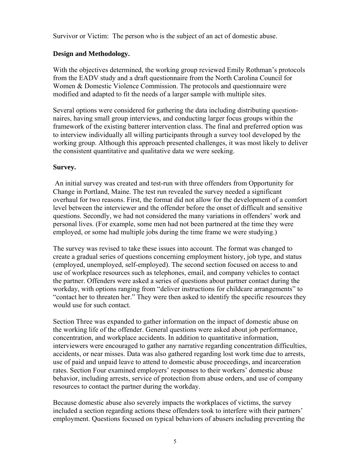Survivor or Victim: The person who is the subject of an act of domestic abuse.

#### **Design and Methodology.**

With the objectives determined, the working group reviewed Emily Rothman's protocols from the EADV study and a draft questionnaire from the North Carolina Council for Women & Domestic Violence Commission. The protocols and questionnaire were modified and adapted to fit the needs of a larger sample with multiple sites.

Several options were considered for gathering the data including distributing questionnaires, having small group interviews, and conducting larger focus groups within the framework of the existing batterer intervention class. The final and preferred option was to interview individually all willing participants through a survey tool developed by the working group. Although this approach presented challenges, it was most likely to deliver the consistent quantitative and qualitative data we were seeking.

#### **Survey.**

 An initial survey was created and test-run with three offenders from Opportunity for Change in Portland, Maine. The test run revealed the survey needed a significant overhaul for two reasons. First, the format did not allow for the development of a comfort level between the interviewer and the offender before the onset of difficult and sensitive questions. Secondly, we had not considered the many variations in offenders' work and personal lives. (For example, some men had not been partnered at the time they were employed, or some had multiple jobs during the time frame we were studying.)

The survey was revised to take these issues into account. The format was changed to create a gradual series of questions concerning employment history, job type, and status (employed, unemployed, self-employed). The second section focused on access to and use of workplace resources such as telephones, email, and company vehicles to contact the partner. Offenders were asked a series of questions about partner contact during the workday, with options ranging from "deliver instructions for childcare arrangements" to "contact her to threaten her." They were then asked to identify the specific resources they would use for such contact.

Section Three was expanded to gather information on the impact of domestic abuse on the working life of the offender. General questions were asked about job performance, concentration, and workplace accidents. In addition to quantitative information, interviewers were encouraged to gather any narrative regarding concentration difficulties, accidents, or near misses. Data was also gathered regarding lost work time due to arrests, use of paid and unpaid leave to attend to domestic abuse proceedings, and incarceration rates. Section Four examined employers' responses to their workers' domestic abuse behavior, including arrests, service of protection from abuse orders, and use of company resources to contact the partner during the workday.

Because domestic abuse also severely impacts the workplaces of victims, the survey included a section regarding actions these offenders took to interfere with their partners' employment. Questions focused on typical behaviors of abusers including preventing the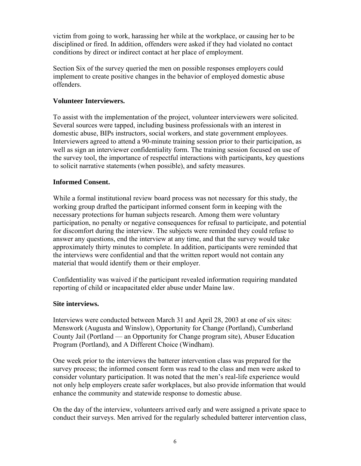victim from going to work, harassing her while at the workplace, or causing her to be disciplined or fired. In addition, offenders were asked if they had violated no contact conditions by direct or indirect contact at her place of employment.

Section Six of the survey queried the men on possible responses employers could implement to create positive changes in the behavior of employed domestic abuse offenders.

#### **Volunteer Interviewers.**

To assist with the implementation of the project, volunteer interviewers were solicited. Several sources were tapped, including business professionals with an interest in domestic abuse, BIPs instructors, social workers, and state government employees. Interviewers agreed to attend a 90-minute training session prior to their participation, as well as sign an interviewer confidentiality form. The training session focused on use of the survey tool, the importance of respectful interactions with participants, key questions to solicit narrative statements (when possible), and safety measures.

#### **Informed Consent.**

While a formal institutional review board process was not necessary for this study, the working group drafted the participant informed consent form in keeping with the necessary protections for human subjects research. Among them were voluntary participation, no penalty or negative consequences for refusal to participate, and potential for discomfort during the interview. The subjects were reminded they could refuse to answer any questions, end the interview at any time, and that the survey would take approximately thirty minutes to complete. In addition, participants were reminded that the interviews were confidential and that the written report would not contain any material that would identify them or their employer.

Confidentiality was waived if the participant revealed information requiring mandated reporting of child or incapacitated elder abuse under Maine law.

#### **Site interviews.**

Interviews were conducted between March 31 and April 28, 2003 at one of six sites: Menswork (Augusta and Winslow), Opportunity for Change (Portland), Cumberland County Jail (Portland — an Opportunity for Change program site), Abuser Education Program (Portland), and A Different Choice (Windham).

One week prior to the interviews the batterer intervention class was prepared for the survey process; the informed consent form was read to the class and men were asked to consider voluntary participation. It was noted that the men's real-life experience would not only help employers create safer workplaces, but also provide information that would enhance the community and statewide response to domestic abuse.

On the day of the interview, volunteers arrived early and were assigned a private space to conduct their surveys. Men arrived for the regularly scheduled batterer intervention class,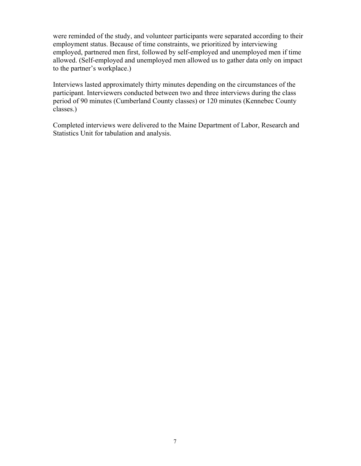were reminded of the study, and volunteer participants were separated according to their employment status. Because of time constraints, we prioritized by interviewing employed, partnered men first, followed by self-employed and unemployed men if time allowed. (Self-employed and unemployed men allowed us to gather data only on impact to the partner's workplace.)

Interviews lasted approximately thirty minutes depending on the circumstances of the participant. Interviewers conducted between two and three interviews during the class period of 90 minutes (Cumberland County classes) or 120 minutes (Kennebec County classes.)

Completed interviews were delivered to the Maine Department of Labor, Research and Statistics Unit for tabulation and analysis.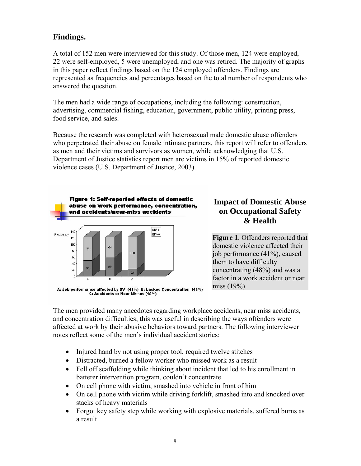#### **Findings.**

A total of 152 men were interviewed for this study. Of those men, 124 were employed, 22 were self-employed, 5 were unemployed, and one was retired. The majority of graphs in this paper reflect findings based on the 124 employed offenders. Findings are represented as frequencies and percentages based on the total number of respondents who answered the question.

The men had a wide range of occupations, including the following: construction, advertising, commercial fishing, education, government, public utility, printing press, food service, and sales.

Because the research was completed with heterosexual male domestic abuse offenders who perpetrated their abuse on female intimate partners, this report will refer to offenders as men and their victims and survivors as women, while acknowledging that U.S. Department of Justice statistics report men are victims in 15% of reported domestic violence cases (U.S. Department of Justice, 2003).



A: Job performance affected by DV (41%) B: Lacked Concentration (48%) C: Accidents or Near Misses (19%)

#### **Impact of Domestic Abuse on Occupational Safety & Health**

**Figure 1**. Offenders reported that domestic violence affected their job performance (41%), caused them to have difficulty concentrating (48%) and was a factor in a work accident or near miss (19%).

The men provided many anecdotes regarding workplace accidents, near miss accidents, and concentration difficulties; this was useful in describing the ways offenders were affected at work by their abusive behaviors toward partners. The following interviewer notes reflect some of the men's individual accident stories:

- Injured hand by not using proper tool, required twelve stitches
- Distracted, burned a fellow worker who missed work as a result
- Fell off scaffolding while thinking about incident that led to his enrollment in batterer intervention program, couldn't concentrate
- On cell phone with victim, smashed into vehicle in front of him
- On cell phone with victim while driving forklift, smashed into and knocked over stacks of heavy materials
- Forgot key safety step while working with explosive materials, suffered burns as a result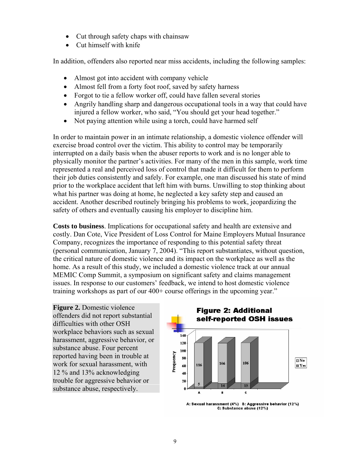- Cut through safety chaps with chainsaw
- Cut himself with knife

In addition, offenders also reported near miss accidents, including the following samples:

- Almost got into accident with company vehicle
- Almost fell from a forty foot roof, saved by safety harness
- Forgot to tie a fellow worker off, could have fallen several stories
- Angrily handling sharp and dangerous occupational tools in a way that could have injured a fellow worker, who said, "You should get your head together."
- Not paying attention while using a torch, could have harmed self

In order to maintain power in an intimate relationship, a domestic violence offender will exercise broad control over the victim. This ability to control may be temporarily interrupted on a daily basis when the abuser reports to work and is no longer able to physically monitor the partner's activities. For many of the men in this sample, work time represented a real and perceived loss of control that made it difficult for them to perform their job duties consistently and safely. For example, one man discussed his state of mind prior to the workplace accident that left him with burns. Unwilling to stop thinking about what his partner was doing at home, he neglected a key safety step and caused an accident. Another described routinely bringing his problems to work, jeopardizing the safety of others and eventually causing his employer to discipline him.

**Costs to business**. Implications for occupational safety and health are extensive and costly. Dan Cote, Vice President of Loss Control for Maine Employers Mutual Insurance Company, recognizes the importance of responding to this potential safety threat (personal communication, January 7, 2004). "This report substantiates, without question, the critical nature of domestic violence and its impact on the workplace as well as the home. As a result of this study, we included a domestic violence track at our annual MEMIC Comp Summit, a symposium on significant safety and claims management issues. In response to our customers' feedback, we intend to host domestic violence training workshops as part of our 400+ course offerings in the upcoming year."

**Figure 2.** Domestic violence offenders did not report substantial difficulties with other OSH workplace behaviors such as sexual harassment, aggressive behavior, or substance abuse. Four percent reported having been in trouble at work for sexual harassment, with 12 % and 13% acknowledging trouble for aggressive behavior or substance abuse, respectively.



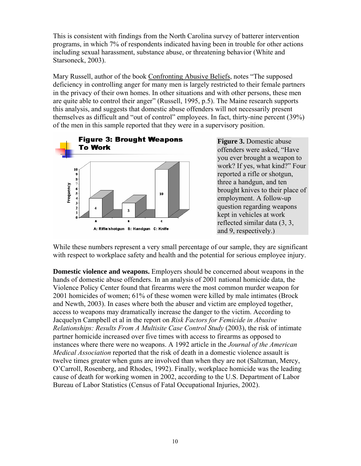This is consistent with findings from the North Carolina survey of batterer intervention programs, in which 7% of respondents indicated having been in trouble for other actions including sexual harassment, substance abuse, or threatening behavior (White and Starsoneck, 2003).

Mary Russell, author of the book Confronting Abusive Beliefs, notes "The supposed deficiency in controlling anger for many men is largely restricted to their female partners in the privacy of their own homes. In other situations and with other persons, these men are quite able to control their anger" (Russell, 1995, p.5). The Maine research supports this analysis, and suggests that domestic abuse offenders will not necessarily present themselves as difficult and "out of control" employees. In fact, thirty-nine percent (39%) of the men in this sample reported that they were in a supervisory position.



**Figure 3.** Domestic abuse offenders were asked, "Have you ever brought a weapon to work? If yes, what kind?" Four reported a rifle or shotgun, three a handgun, and ten brought knives to their place of employment. A follow-up question regarding weapons kept in vehicles at work reflected similar data (3, 3, and 9, respectively.)

While these numbers represent a very small percentage of our sample, they are significant with respect to workplace safety and health and the potential for serious employee injury.

**Domestic violence and weapons.** Employers should be concerned about weapons in the hands of domestic abuse offenders. In an analysis of 2001 national homicide data, the Violence Policy Center found that firearms were the most common murder weapon for 2001 homicides of women; 61% of these women were killed by male intimates (Brock and Newth, 2003). In cases where both the abuser and victim are employed together, access to weapons may dramatically increase the danger to the victim. According to Jacquelyn Campbell et al in the report on *Risk Factors for Femicide in Abusive Relationships: Results From A Multisite Case Control Study* (2003), the risk of intimate partner homicide increased over five times with access to firearms as opposed to instances where there were no weapons. A 1992 article in the *Journal of the American Medical Association* reported that the risk of death in a domestic violence assault is twelve times greater when guns are involved than when they are not (Saltzman, Mercy, O'Carroll, Rosenberg, and Rhodes, 1992). Finally, workplace homicide was the leading cause of death for working women in 2002, according to the U.S. Department of Labor Bureau of Labor Statistics (Census of Fatal Occupational Injuries, 2002).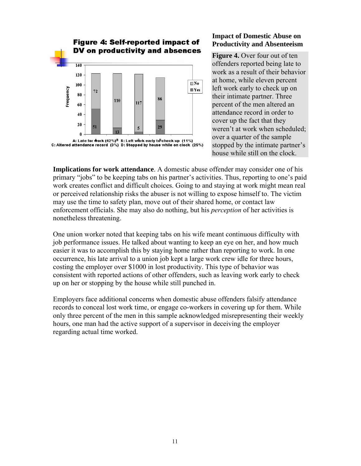

#### **Impact of Domestic Abuse on Productivity and Absenteeism**

**Figure 4.** Over four out of ten offenders reported being late to work as a result of their behavior at home, while eleven percent left work early to check up on their intimate partner. Three percent of the men altered an attendance record in order to cover up the fact that they weren't at work when scheduled; over a quarter of the sample stopped by the intimate partner's house while still on the clock.

**Implications for work attendance**. A domestic abuse offender may consider one of his primary "jobs" to be keeping tabs on his partner's activities. Thus, reporting to one's paid work creates conflict and difficult choices. Going to and staying at work might mean real or perceived relationship risks the abuser is not willing to expose himself to. The victim may use the time to safety plan, move out of their shared home, or contact law enforcement officials. She may also do nothing, but his *perception* of her activities is nonetheless threatening.

One union worker noted that keeping tabs on his wife meant continuous difficulty with job performance issues. He talked about wanting to keep an eye on her, and how much easier it was to accomplish this by staying home rather than reporting to work. In one occurrence, his late arrival to a union job kept a large work crew idle for three hours, costing the employer over \$1000 in lost productivity. This type of behavior was consistent with reported actions of other offenders, such as leaving work early to check up on her or stopping by the house while still punched in.

Employers face additional concerns when domestic abuse offenders falsify attendance records to conceal lost work time, or engage co-workers in covering up for them. While only three percent of the men in this sample acknowledged misrepresenting their weekly hours, one man had the active support of a supervisor in deceiving the employer regarding actual time worked.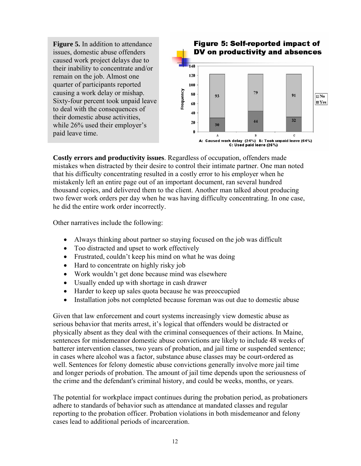**Figure 5.** In addition to attendance issues, domestic abuse offenders caused work project delays due to their inability to concentrate and/or remain on the job. Almost one quarter of participants reported causing a work delay or mishap. Sixty-four percent took unpaid leave to deal with the consequences of their domestic abuse activities, while 26% used their employer's paid leave time.



**Costly errors and productivity issues**. Regardless of occupation, offenders made mistakes when distracted by their desire to control their intimate partner. One man noted that his difficulty concentrating resulted in a costly error to his employer when he mistakenly left an entire page out of an important document, ran several hundred thousand copies, and delivered them to the client. Another man talked about producing two fewer work orders per day when he was having difficulty concentrating. In one case, he did the entire work order incorrectly.

Other narratives include the following:

- Always thinking about partner so staying focused on the job was difficult
- Too distracted and upset to work effectively
- Frustrated, couldn't keep his mind on what he was doing
- Hard to concentrate on highly risky job
- Work wouldn't get done because mind was elsewhere
- Usually ended up with shortage in cash drawer
- Harder to keep up sales quota because he was preoccupied
- Installation jobs not completed because foreman was out due to domestic abuse

Given that law enforcement and court systems increasingly view domestic abuse as serious behavior that merits arrest, it's logical that offenders would be distracted or physically absent as they deal with the criminal consequences of their actions. In Maine, sentences for misdemeanor domestic abuse convictions are likely to include 48 weeks of batterer intervention classes, two years of probation, and jail time or suspended sentence; in cases where alcohol was a factor, substance abuse classes may be court-ordered as well. Sentences for felony domestic abuse convictions generally involve more jail time and longer periods of probation. The amount of jail time depends upon the seriousness of the crime and the defendant's criminal history, and could be weeks, months, or years.

The potential for workplace impact continues during the probation period, as probationers adhere to standards of behavior such as attendance at mandated classes and regular reporting to the probation officer. Probation violations in both misdemeanor and felony cases lead to additional periods of incarceration.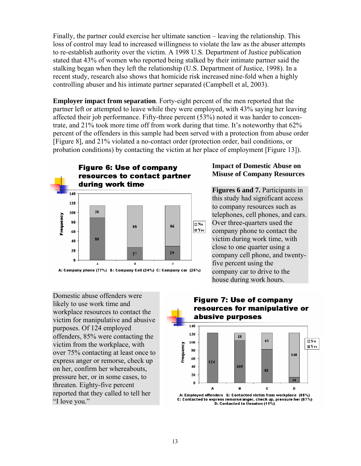Finally, the partner could exercise her ultimate sanction – leaving the relationship. This loss of control may lead to increased willingness to violate the law as the abuser attempts to re-establish authority over the victim. A 1998 U.S. Department of Justice publication stated that 43% of women who reported being stalked by their intimate partner said the stalking began when they left the relationship (U.S. Department of Justice, 1998). In a recent study, research also shows that homicide risk increased nine-fold when a highly controlling abuser and his intimate partner separated (Campbell et al, 2003).

**Employer impact from separation**. Forty-eight percent of the men reported that the partner left or attempted to leave while they were employed, with 43% saying her leaving affected their job performance. Fifty-three percent (53%) noted it was harder to concentrate, and 21% took more time off from work during that time. It's noteworthy that 62% percent of the offenders in this sample had been served with a protection from abuse order [Figure 8], and 21% violated a no-contact order (protection order, bail conditions, or probation conditions) by contacting the victim at her place of employment [Figure 13]).



#### **Impact of Domestic Abuse on Misuse of Company Resources**

**Figures 6 and 7.** Participants in this study had significant access to company resources such as telephones, cell phones, and cars. Over three-quarters used the company phone to contact the victim during work time, with close to one quarter using a company cell phone, and twentyfive percent using the company car to drive to the house during work hours.

Domestic abuse offenders were likely to use work time and workplace resources to contact the victim for manipulative and abusive purposes. Of 124 employed offenders, 85% were contacting the victim from the workplace, with over 75% contacting at least once to express anger or remorse, check up on her, confirm her whereabouts, pressure her, or in some cases, to threaten. Eighty-five percent reported that they called to tell her "I love you."

#### **Figure 7: Use of company** resources for manipulative or abusive purposes



A: Employed offenders B: Contacted victim from workplace (85%) C: Contacted to express remorse/anger, check up, pressure her (67%) D: Contacted to threaten (11%)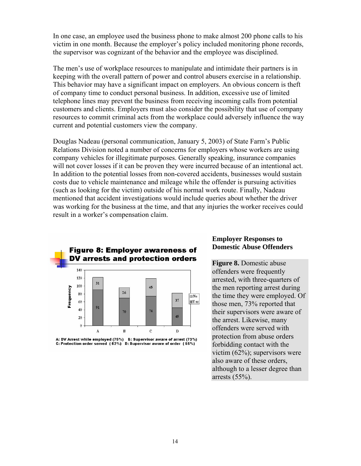In one case, an employee used the business phone to make almost 200 phone calls to his victim in one month. Because the employer's policy included monitoring phone records, the supervisor was cognizant of the behavior and the employee was disciplined.

The men's use of workplace resources to manipulate and intimidate their partners is in keeping with the overall pattern of power and control abusers exercise in a relationship. This behavior may have a significant impact on employers. An obvious concern is theft of company time to conduct personal business. In addition, excessive use of limited telephone lines may prevent the business from receiving incoming calls from potential customers and clients. Employers must also consider the possibility that use of company resources to commit criminal acts from the workplace could adversely influence the way current and potential customers view the company.

Douglas Nadeau (personal communication, January 5, 2003) of State Farm's Public Relations Division noted a number of concerns for employers whose workers are using company vehicles for illegitimate purposes. Generally speaking, insurance companies will not cover losses if it can be proven they were incurred because of an intentional act. In addition to the potential losses from non-covered accidents, businesses would sustain costs due to vehicle maintenance and mileage while the offender is pursuing activities (such as looking for the victim) outside of his normal work route. Finally, Nadeau mentioned that accident investigations would include queries about whether the driver was working for the business at the time, and that any injuries the worker receives could result in a worker's compensation claim.



A: DV Arrest while employed (75%) B: Supervisor aware of arrest (73%)<br>C: Protection order served (62%) D: Supervisor aware of order (55%)

#### **Employer Responses to Domestic Abuse Offenders**

**Figure 8. Domestic abuse** offenders were frequently arrested, with three-quarters of the men reporting arrest during the time they were employed. Of those men, 73% reported that their supervisors were aware of the arrest. Likewise, many offenders were served with protection from abuse orders forbidding contact with the victim (62%); supervisors were also aware of these orders, although to a lesser degree than arrests (55%).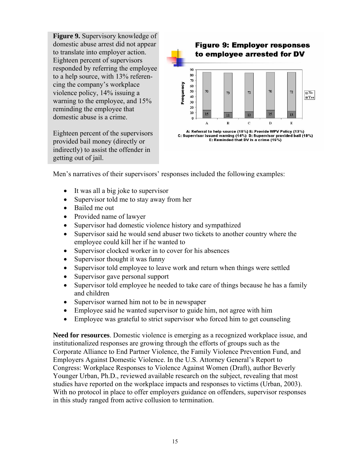**Figure 9.** Supervisory knowledge of domestic abuse arrest did not appear to translate into employer action. Eighteen percent of supervisors responded by referring the employee to a help source, with 13% referencing the company's workplace violence policy, 14% issuing a warning to the employee, and 15% reminding the employee that domestic abuse is a crime.

Eighteen percent of the supervisors provided bail money (directly or indirectly) to assist the offender in getting out of jail.



Men's narratives of their supervisors' responses included the following examples:

- It was all a big joke to supervisor
- Supervisor told me to stay away from her
- Bailed me out
- Provided name of lawyer
- Supervisor had domestic violence history and sympathized
- Supervisor said he would send abuser two tickets to another country where the employee could kill her if he wanted to
- Supervisor clocked worker in to cover for his absences
- Supervisor thought it was funny
- Supervisor told employee to leave work and return when things were settled
- Supervisor gave personal support
- Supervisor told employee he needed to take care of things because he has a family and children
- Supervisor warned him not to be in newspaper
- Employee said he wanted supervisor to guide him, not agree with him
- Employee was grateful to strict supervisor who forced him to get counseling

**Need for resources**. Domestic violence is emerging as a recognized workplace issue, and institutionalized responses are growing through the efforts of groups such as the Corporate Alliance to End Partner Violence, the Family Violence Prevention Fund, and Employers Against Domestic Violence. In the U.S. Attorney General's Report to Congress: Workplace Responses to Violence Against Women (Draft), author Beverly Younger Urban, Ph.D., reviewed available research on the subject, revealing that most studies have reported on the workplace impacts and responses to victims (Urban, 2003). With no protocol in place to offer employers guidance on offenders, supervisor responses in this study ranged from active collusion to termination.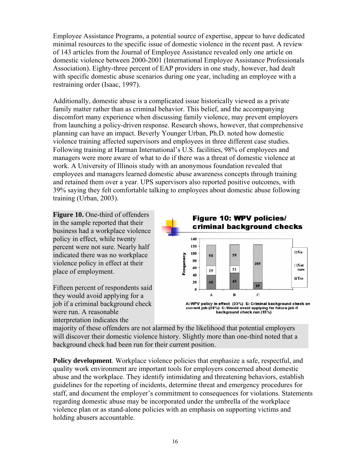Employee Assistance Programs, a potential source of expertise, appear to have dedicated minimal resources to the specific issue of domestic violence in the recent past. A review of 143 articles from the Journal of Employee Assistance revealed only one article on domestic violence between 2000-2001 (International Employee Assistance Professionals Association). Eighty-three percent of EAP providers in one study, however, had dealt with specific domestic abuse scenarios during one year, including an employee with a restraining order (Isaac, 1997).

Additionally, domestic abuse is a complicated issue historically viewed as a private family matter rather than as criminal behavior. This belief, and the accompanying discomfort many experience when discussing family violence, may prevent employers from launching a policy-driven response. Research shows, however, that comprehensive planning can have an impact. Beverly Younger Urban, Ph.D. noted how domestic violence training affected supervisors and employees in three different case studies. Following training at Harman International's U.S. facilities, 98% of employees and managers were more aware of what to do if there was a threat of domestic violence at work. A University of Illinois study with an anonymous foundation revealed that employees and managers learned domestic abuse awareness concepts through training and retained them over a year. UPS supervisors also reported positive outcomes, with 39% saying they felt comfortable talking to employees about domestic abuse following training (Urban, 2003).

**Figure 10.** One-third of offenders in the sample reported that their business had a workplace violence policy in effect, while twenty percent were not sure. Nearly half indicated there was no workplace violence policy in effect at their place of employment.

Fifteen percent of respondents said they would avoid applying for a job if a criminal background check were run. A reasonable interpretation indicates the



background check run (15%)

majority of these offenders are not alarmed by the likelihood that potential employers will discover their domestic violence history. Slightly more than one-third noted that a background check had been run for their current position.

**Policy development**. Workplace violence policies that emphasize a safe, respectful, and quality work environment are important tools for employers concerned about domestic abuse and the workplace. They identify intimidating and threatening behaviors, establish guidelines for the reporting of incidents, determine threat and emergency procedures for staff, and document the employer's commitment to consequences for violations. Statements regarding domestic abuse may be incorporated under the umbrella of the workplace violence plan or as stand-alone policies with an emphasis on supporting victims and holding abusers accountable.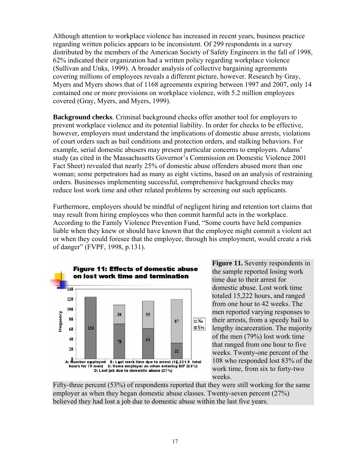Although attention to workplace violence has increased in recent years, business practice regarding written policies appears to be inconsistent. Of 299 respondents in a survey distributed by the members of the American Society of Safety Engineers in the fall of 1998, 62% indicated their organization had a written policy regarding workplace violence (Sullivan and Unks, 1999). A broader analysis of collective bargaining agreements covering millions of employees reveals a different picture, however. Research by Gray, Myers and Myers shows that of 1168 agreements expiring between 1997 and 2007, only 14 contained one or more provisions on workplace violence, with 5.2 million employees covered (Gray, Myers, and Myers, 1999).

**Background checks**. Criminal background checks offer another tool for employers to prevent workplace violence and its potential liability. In order for checks to be effective, however, employers must understand the implications of domestic abuse arrests, violations of court orders such as bail conditions and protection orders, and stalking behaviors. For example, serial domestic abusers may present particular concerns to employers. Adams' study (as cited in the Massachusetts Governor's Commission on Domestic Violence 2001 Fact Sheet) revealed that nearly 25% of domestic abuse offenders abused more than one woman; some perpetrators had as many as eight victims, based on an analysis of restraining orders. Businesses implementing successful, comprehensive background checks may reduce lost work time and other related problems by screening out such applicants.

Furthermore, employers should be mindful of negligent hiring and retention tort claims that may result from hiring employees who then commit harmful acts in the workplace. According to the Family Violence Prevention Fund, "Some courts have held companies liable when they knew or should have known that the employee might commit a violent act or when they could foresee that the employee, through his employment, would create a risk of danger" (FVPF, 1998, p.131).



**Figure 11.** Seventy respondents in the sample reported losing work time due to their arrest for domestic abuse. Lost work time totaled 15,222 hours, and ranged from one hour to 42 weeks. The men reported varying responses to their arrests, from a speedy bail to lengthy incarceration. The majority of the men (79%) lost work time that ranged from one hour to five weeks. Twenty-one percent of the 108 who responded lost 83% of the work time, from six to forty-two weeks.

Fifty-three percent (53%) of respondents reported that they were still working for the same employer as when they began domestic abuse classes. Twenty-seven percent (27%) believed they had lost a job due to domestic abuse within the last five years.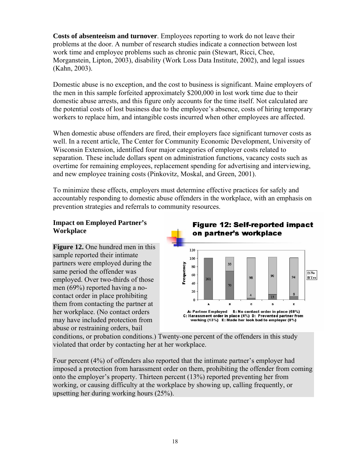**Costs of absenteeism and turnover**. Employees reporting to work do not leave their problems at the door. A number of research studies indicate a connection between lost work time and employee problems such as chronic pain (Stewart, Ricci, Chee, Morganstein, Lipton, 2003), disability (Work Loss Data Institute, 2002), and legal issues (Kahn, 2003).

Domestic abuse is no exception, and the cost to business is significant. Maine employers of the men in this sample forfeited approximately \$200,000 in lost work time due to their domestic abuse arrests, and this figure only accounts for the time itself. Not calculated are the potential costs of lost business due to the employee's absence, costs of hiring temporary workers to replace him, and intangible costs incurred when other employees are affected.

When domestic abuse offenders are fired, their employers face significant turnover costs as well. In a recent article, The Center for Community Economic Development, University of Wisconsin Extension, identified four major categories of employer costs related to separation. These include dollars spent on administration functions, vacancy costs such as overtime for remaining employees, replacement spending for advertising and interviewing, and new employee training costs (Pinkovitz, Moskal, and Green, 2001).

To minimize these effects, employers must determine effective practices for safely and accountably responding to domestic abuse offenders in the workplace, with an emphasis on prevention strategies and referrals to community resources.

#### **Impact on Employed Partner's Workplace**

**Figure 12.** One hundred men in this sample reported their intimate partners were employed during the same period the offender was employed. Over two-thirds of those men (69%) reported having a nocontact order in place prohibiting them from contacting the partner at her workplace. (No contact orders may have included protection from abuse or restraining orders, bail



conditions, or probation conditions.) Twenty-one percent of the offenders in this study violated that order by contacting her at her workplace.

Four percent (4%) of offenders also reported that the intimate partner's employer had imposed a protection from harassment order on them, prohibiting the offender from coming onto the employer's property. Thirteen percent (13%) reported preventing her from working, or causing difficulty at the workplace by showing up, calling frequently, or upsetting her during working hours (25%).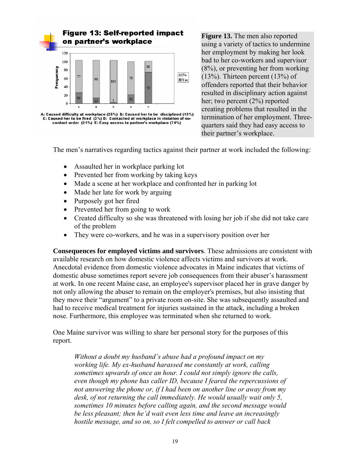

**Figure 13.** The men also reported using a variety of tactics to undermine her employment by making her look bad to her co-workers and supervisor (8%), or preventing her from working (13%). Thirteen percent (13%) of offenders reported that their behavior resulted in disciplinary action against her; two percent (2%) reported creating problems that resulted in the termination of her employment. Threequarters said they had easy access to their partner's workplace.

The men's narratives regarding tactics against their partner at work included the following:

- Assaulted her in workplace parking lot
- Prevented her from working by taking keys
- Made a scene at her workplace and confronted her in parking lot
- Made her late for work by arguing
- Purposely got her fired
- Prevented her from going to work
- Created difficulty so she was threatened with losing her job if she did not take care of the problem
- They were co-workers, and he was in a supervisory position over her

**Consequences for employed victims and survivors**. These admissions are consistent with available research on how domestic violence affects victims and survivors at work. Anecdotal evidence from domestic violence advocates in Maine indicates that victims of domestic abuse sometimes report severe job consequences from their abuser's harassment at work. In one recent Maine case, an employee's supervisor placed her in grave danger by not only allowing the abuser to remain on the employer's premises, but also insisting that they move their "argument" to a private room on-site. She was subsequently assaulted and had to receive medical treatment for injuries sustained in the attack, including a broken nose. Furthermore, this employee was terminated when she returned to work.

One Maine survivor was willing to share her personal story for the purposes of this report.

*Without a doubt my husband's abuse had a profound impact on my working life. My ex-husband harassed me constantly at work, calling sometimes upwards of once an hour. I could not simply ignore the calls, even though my phone has caller ID, because I feared the repercussions of not answering the phone or, if I had been on another line or away from my desk, of not returning the call immediately. He would usually wait only 5, sometimes 10 minutes before calling again, and the second message would be less pleasant; then he'd wait even less time and leave an increasingly hostile message, and so on, so I felt compelled to answer or call back*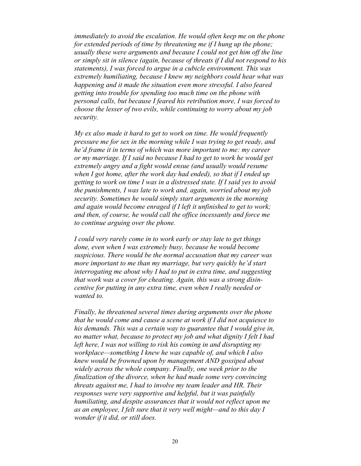*immediately to avoid the escalation. He would often keep me on the phone for extended periods of time by threatening me if I hung up the phone; usually these were arguments and because I could not get him off the line or simply sit in silence (again, because of threats if I did not respond to his statements), I was forced to argue in a cubicle environment. This was extremely humiliating, because I knew my neighbors could hear what was happening and it made the situation even more stressful. I also feared getting into trouble for spending too much time on the phone with personal calls, but because I feared his retribution more, I was forced to choose the lesser of two evils, while continuing to worry about my job security.* 

*My ex also made it hard to get to work on time. He would frequently pressure me for sex in the morning while I was trying to get ready, and he'd frame it in terms of which was more important to me: my career or my marriage. If I said no because I had to get to work he would get extremely angry and a fight would ensue (and usually would resume when I got home, after the work day had ended), so that if I ended up getting to work on time I was in a distressed state. If I said yes to avoid the punishments, I was late to work and, again, worried about my job security. Sometimes he would simply start arguments in the morning and again would become enraged if I left it unfinished to get to work; and then, of course, he would call the office incessantly and force me to continue arguing over the phone.*

*I could very rarely come in to work early or stay late to get things done, even when I was extremely busy, because he would become suspicious. There would be the normal accusation that my career was more important to me than my marriage, but very quickly he'd start interrogating me about why I had to put in extra time, and suggesting that work was a cover for cheating. Again, this was a strong disincentive for putting in any extra time, even when I really needed or wanted to.* 

*Finally, he threatened several times during arguments over the phone that he would come and cause a scene at work if I did not acquiesce to his demands. This was a certain way to guarantee that I would give in, no matter what, because to protect my job and what dignity I felt I had left here, I was not willing to risk his coming in and disrupting my workplace—something I knew he was capable of, and which I also knew would be frowned upon by management AND gossiped about widely across the whole company. Finally, one week prior to the finalization of the divorce, when he had made some very convincing threats against me, I had to involve my team leader and HR. Their responses were very supportive and helpful, but it was painfully humiliating, and despite assurances that it would not reflect upon me as an employee, I felt sure that it very well might—and to this day I wonder if it did, or still does.*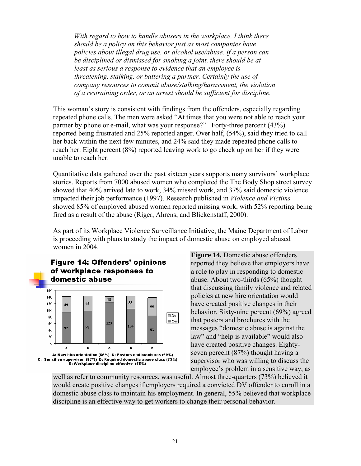*With regard to how to handle abusers in the workplace, I think there should be a policy on this behavior just as most companies have policies about illegal drug use, or alcohol use/abuse. If a person can be disciplined or dismissed for smoking a joint, there should be at least as serious a response to evidence that an employee is threatening, stalking, or battering a partner. Certainly the use of company resources to commit abuse/stalking/harassment, the violation of a restraining order, or an arrest should be sufficient for discipline.* 

This woman's story is consistent with findings from the offenders, especially regarding repeated phone calls. The men were asked "At times that you were not able to reach your partner by phone or e-mail, what was your response?" Forty-three percent (43%) reported being frustrated and 25% reported anger. Over half, (54%), said they tried to call her back within the next few minutes, and 24% said they made repeated phone calls to reach her. Eight percent (8%) reported leaving work to go check up on her if they were unable to reach her.

Quantitative data gathered over the past sixteen years supports many survivors' workplace stories. Reports from 7000 abused women who completed the The Body Shop street survey showed that 40% arrived late to work, 34% missed work, and 37% said domestic violence impacted their job performance (1997). Research published in *Violence and Victims* showed 85% of employed abused women reported missing work, with 52% reporting being fired as a result of the abuse (Riger, Ahrens, and Blickenstaff, 2000).

As part of its Workplace Violence Surveillance Initiative, the Maine Department of Labor is proceeding with plans to study the impact of domestic abuse on employed abused women in 2004.



**Figure 14.** Domestic abuse offenders reported they believe that employers have a role to play in responding to domestic abuse. About two-thirds (65%) thought that discussing family violence and related policies at new hire orientation would have created positive changes in their behavior. Sixty-nine percent (69%) agreed that posters and brochures with the messages "domestic abuse is against the law" and "help is available" would also have created positive changes. Eightyseven percent (87%) thought having a supervisor who was willing to discuss the employee's problem in a sensitive way, as

well as refer to community resources, was useful. Almost three-quarters (73%) believed it would create positive changes if employers required a convicted DV offender to enroll in a domestic abuse class to maintain his employment. In general, 55% believed that workplace discipline is an effective way to get workers to change their personal behavior.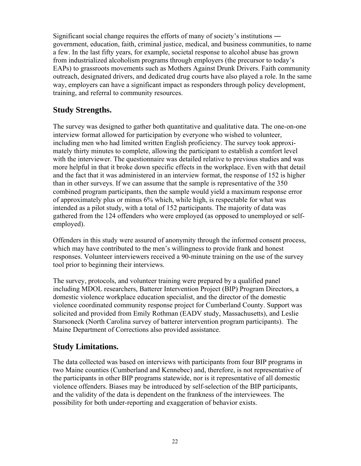Significant social change requires the efforts of many of society's institutions ― government, education, faith, criminal justice, medical, and business communities, to name a few. In the last fifty years, for example, societal response to alcohol abuse has grown from industrialized alcoholism programs through employers (the precursor to today's EAPs) to grassroots movements such as Mothers Against Drunk Drivers. Faith community outreach, designated drivers, and dedicated drug courts have also played a role. In the same way, employers can have a significant impact as responders through policy development, training, and referral to community resources.

#### **Study Strengths.**

The survey was designed to gather both quantitative and qualitative data. The one-on-one interview format allowed for participation by everyone who wished to volunteer, including men who had limited written English proficiency. The survey took approximately thirty minutes to complete, allowing the participant to establish a comfort level with the interviewer. The questionnaire was detailed relative to previous studies and was more helpful in that it broke down specific effects in the workplace. Even with that detail and the fact that it was administered in an interview format, the response of 152 is higher than in other surveys. If we can assume that the sample is representative of the 350 combined program participants, then the sample would yield a maximum response error of approximately plus or minus 6% which, while high, is respectable for what was intended as a pilot study, with a total of 152 participants. The majority of data was gathered from the 124 offenders who were employed (as opposed to unemployed or selfemployed).

Offenders in this study were assured of anonymity through the informed consent process, which may have contributed to the men's willingness to provide frank and honest responses. Volunteer interviewers received a 90-minute training on the use of the survey tool prior to beginning their interviews.

The survey, protocols, and volunteer training were prepared by a qualified panel including MDOL researchers, Batterer Intervention Project (BIP) Program Directors, a domestic violence workplace education specialist, and the director of the domestic violence coordinated community response project for Cumberland County. Support was solicited and provided from Emily Rothman (EADV study, Massachusetts), and Leslie Starsoneck (North Carolina survey of batterer intervention program participants). The Maine Department of Corrections also provided assistance.

#### **Study Limitations.**

The data collected was based on interviews with participants from four BIP programs in two Maine counties (Cumberland and Kennebec) and, therefore, is not representative of the participants in other BIP programs statewide, nor is it representative of all domestic violence offenders. Biases may be introduced by self-selection of the BIP participants, and the validity of the data is dependent on the frankness of the interviewees. The possibility for both under-reporting and exaggeration of behavior exists.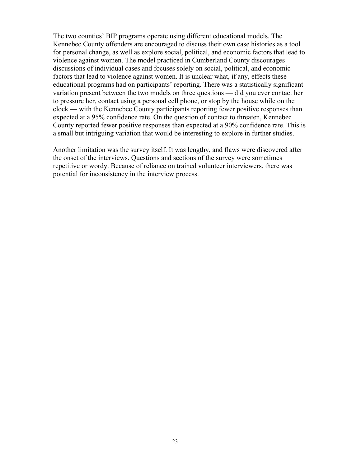The two counties' BIP programs operate using different educational models. The Kennebec County offenders are encouraged to discuss their own case histories as a tool for personal change, as well as explore social, political, and economic factors that lead to violence against women. The model practiced in Cumberland County discourages discussions of individual cases and focuses solely on social, political, and economic factors that lead to violence against women. It is unclear what, if any, effects these educational programs had on participants' reporting. There was a statistically significant variation present between the two models on three questions — did you ever contact her to pressure her, contact using a personal cell phone, or stop by the house while on the clock — with the Kennebec County participants reporting fewer positive responses than expected at a 95% confidence rate. On the question of contact to threaten, Kennebec County reported fewer positive responses than expected at a 90% confidence rate. This is a small but intriguing variation that would be interesting to explore in further studies.

Another limitation was the survey itself. It was lengthy, and flaws were discovered after the onset of the interviews. Questions and sections of the survey were sometimes repetitive or wordy. Because of reliance on trained volunteer interviewers, there was potential for inconsistency in the interview process.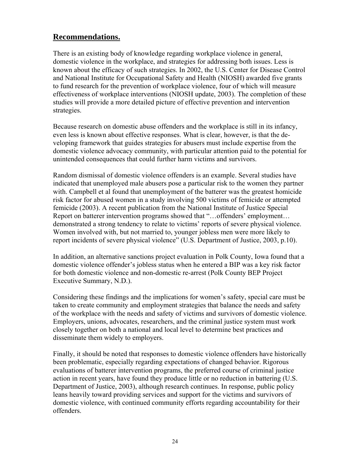#### **Recommendations.**

There is an existing body of knowledge regarding workplace violence in general, domestic violence in the workplace, and strategies for addressing both issues. Less is known about the efficacy of such strategies. In 2002, the U.S. Center for Disease Control and National Institute for Occupational Safety and Health (NIOSH) awarded five grants to fund research for the prevention of workplace violence, four of which will measure effectiveness of workplace interventions (NIOSH update, 2003). The completion of these studies will provide a more detailed picture of effective prevention and intervention strategies.

Because research on domestic abuse offenders and the workplace is still in its infancy, even less is known about effective responses. What is clear, however, is that the developing framework that guides strategies for abusers must include expertise from the domestic violence advocacy community, with particular attention paid to the potential for unintended consequences that could further harm victims and survivors.

Random dismissal of domestic violence offenders is an example. Several studies have indicated that unemployed male abusers pose a particular risk to the women they partner with. Campbell et al found that unemployment of the batterer was the greatest homicide risk factor for abused women in a study involving 500 victims of femicide or attempted femicide (2003). A recent publication from the National Institute of Justice Special Report on batterer intervention programs showed that "…offenders' employment… demonstrated a strong tendency to relate to victims' reports of severe physical violence. Women involved with, but not married to, younger jobless men were more likely to report incidents of severe physical violence" (U.S. Department of Justice, 2003, p.10).

In addition, an alternative sanctions project evaluation in Polk County, Iowa found that a domestic violence offender's jobless status when he entered a BIP was a key risk factor for both domestic violence and non-domestic re-arrest (Polk County BEP Project Executive Summary, N.D.).

Considering these findings and the implications for women's safety, special care must be taken to create community and employment strategies that balance the needs and safety of the workplace with the needs and safety of victims and survivors of domestic violence. Employers, unions, advocates, researchers, and the criminal justice system must work closely together on both a national and local level to determine best practices and disseminate them widely to employers.

Finally, it should be noted that responses to domestic violence offenders have historically been problematic, especially regarding expectations of changed behavior. Rigorous evaluations of batterer intervention programs, the preferred course of criminal justice action in recent years, have found they produce little or no reduction in battering (U.S. Department of Justice, 2003), although research continues. In response, public policy leans heavily toward providing services and support for the victims and survivors of domestic violence, with continued community efforts regarding accountability for their offenders.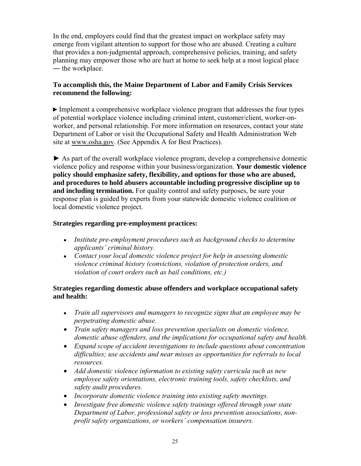In the end, employers could find that the greatest impact on workplace safety may emerge from vigilant attention to support for those who are abused. Creating a culture that provides a non-judgmental approach, comprehensive policies, training, and safety planning may empower those who are hurt at home to seek help at a most logical place ― the workplace.

#### **To accomplish this, the Maine Department of Labor and Family Crisis Services recommend the following:**

► Implement a comprehensive workplace violence program that addresses the four types of potential workplace violence including criminal intent, customer/client, worker-onworker, and personal relationship. For more information on resources, contact your state Department of Labor or visit the Occupational Safety and Health Administration Web site at [www.osha.gov](http://www.osha.gov/). (See Appendix A for Best Practices).

► As part of the overall workplace violence program, develop a comprehensive domestic violence policy and response within your business/organization. **Your domestic violence policy should emphasize safety, flexibility, and options for those who are abused, and procedures to hold abusers accountable including progressive discipline up to and including termination.** For quality control and safety purposes, be sure your response plan is guided by experts from your statewide domestic violence coalition or local domestic violence project.

#### **Strategies regarding pre-employment practices:**

- *Institute pre-employment procedures such as background checks to determine applicants' criminal history.*
- *Contact your local domestic violence project for help in assessing domestic violence criminal history (convictions, violation of protection orders, and violation of court orders such as bail conditions, etc.)*

#### **Strategies regarding domestic abuse offenders and workplace occupational safety and health:**

- *Train all supervisors and managers to recognize signs that an employee may be perpetrating domestic abuse.*
- *Train safety managers and loss prevention specialists on domestic violence, domestic abuse offenders, and the implications for occupational safety and health.*
- *Expand scope of accident investigations to include questions about concentration difficulties; use accidents and near misses as opportunities for referrals to local resources.*
- *Add domestic violence information to existing safety curricula such as new employee safety orientations, electronic training tools, safety checklists, and safety audit procedures.*
- *Incorporate domestic violence training into existing safety meetings.*
- *Investigate free domestic violence safety trainings offered through your state Department of Labor, professional safety or loss prevention associations, nonprofit safety organizations, or workers' compensation insurers.*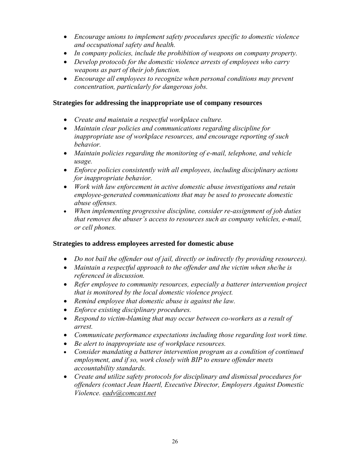- *Encourage unions to implement safety procedures specific to domestic violence and occupational safety and health.*
- *In company policies, include the prohibition of weapons on company property.*
- *Develop protocols for the domestic violence arrests of employees who carry weapons as part of their job function.*
- *Encourage all employees to recognize when personal conditions may prevent concentration, particularly for dangerous jobs.*

#### **Strategies for addressing the inappropriate use of company resources**

- *Create and maintain a respectful workplace culture.*
- *Maintain clear policies and communications regarding discipline for inappropriate use of workplace resources, and encourage reporting of such behavior.*
- *Maintain policies regarding the monitoring of e-mail, telephone, and vehicle usage.*
- *Enforce policies consistently with all employees, including disciplinary actions for inappropriate behavior.*
- *Work with law enforcement in active domestic abuse investigations and retain employee-generated communications that may be used to prosecute domestic abuse offenses.*
- *When implementing progressive discipline, consider re-assignment of job duties that removes the abuser's access to resources such as company vehicles, e-mail, or cell phones.*

#### **Strategies to address employees arrested for domestic abuse**

- *Do not bail the offender out of jail, directly or indirectly (by providing resources).*
- Maintain a respectful approach to the offender and the victim when she/he is *referenced in discussion.*
- *Refer employee to community resources, especially a batterer intervention project that is monitored by the local domestic violence project.*
- *Remind employee that domestic abuse is against the law.*
- *Enforce existing disciplinary procedures.*
- *Respond to victim-blaming that may occur between co-workers as a result of arrest.*
- *Communicate performance expectations including those regarding lost work time.*
- *Be alert to inappropriate use of workplace resources.*
- *Consider mandating a batterer intervention program as a condition of continued employment, and if so, work closely with BIP to ensure offender meets accountability standards.*
- *Create and utilize safety protocols for disciplinary and dismissal procedures for offenders (contact Jean Haertl, Executive Director, Employers Against Domestic Violence. [eadv@comcast.net](mailto:eadv@comcast.net)*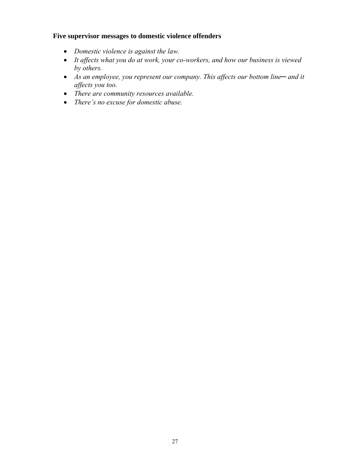#### **Five supervisor messages to domestic violence offenders**

- *Domestic violence is against the law.*
- *It affects what you do at work, your co-workers, and how our business is viewed by others.*
- *As an employee, you represent our company. This affects our bottom line─ and it affects you too.*
- *There are community resources available.*
- *There's no excuse for domestic abuse.*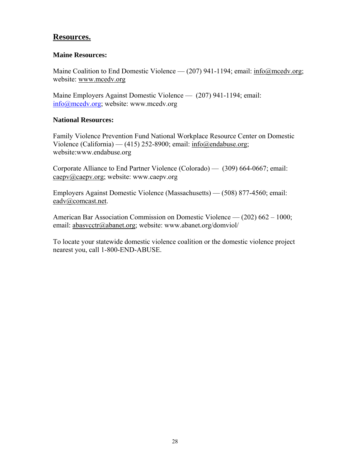#### **Resources.**

#### **Maine Resources:**

Maine Coalition to End Domestic Violence — (207) 941-1194; email: [info@mcedv.org;](mailto:info@mcedv.org) website: [www.mcedv.org](http://www.mcedv.org/)

Maine Employers Against Domestic Violence — (207) 941-1194; email: [info@mcedv.org](mailto:info@mcedv.org); website: www.mcedv.org

#### **National Resources:**

Family Violence Prevention Fund National Workplace Resource Center on Domestic Violence (California) — (415) 252-8900; email: [info@endabuse.org](mailto:info@endabuse.org); website:www.endabuse.org

Corporate Alliance to End Partner Violence (Colorado) — (309) 664-0667; email: [caepv@caepv.org](mailto:caepv@caepv.org); website: www.caepv.org

Employers Against Domestic Violence (Massachusetts) — (508) 877-4560; email: [eadv@comcast.net.](mailto:eadv@comcast.net)

American Bar Association Commission on Domestic Violence — (202) 662 – 1000; email: [abasvcctr@abanet.org;](mailto:abasvcctr@abanet.org) website: www.abanet.org/domviol/

To locate your statewide domestic violence coalition or the domestic violence project nearest you, call 1-800-END-ABUSE.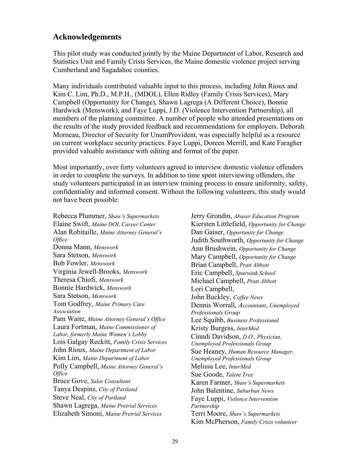#### **Acknowledgements**

This pilot study was conducted jointly by the Maine Department of Labor, Research and Statistics Unit and Family Crisis Services, the Maine domestic violence project serving Cumberland and Sagadahoc counties.

Many individuals contributed valuable input to this process, including John Rioux and Kim C. Lim, Ph.D., M.P.H., (MDOL), Ellen Ridley (Family Crisis Services), Mary Campbell (Opportunity for Change), Shawn Lagrega (A Different Choice), Bonnie Hardwick (Menswork), and Faye Luppi, J.D. (Violence Intervention Partnership), all members of the planning committee. A number of people who attended presentations on the results of the study provided feedback and recommendations for employers. Deborah Morneau, Director of Security for UnumProvident, was especially helpful as a resource on current workplace security practices. Faye Luppi, Doreen Merrill, and Kate Faragher provided valuable assistance with editing and format of the paper.

Most importantly, over forty volunteers agreed to interview domestic violence offenders in order to complete the surveys. In addition to time spent interviewing offenders, the study volunteers participated in an interview training process to ensure uniformity, safety, confidentiality and informed consent. Without the following volunteers, this study would not have been possible:

Rebecca Plummer, *Shaw's Supermarkets* Elaine Swift, *Maine DOL Career Center* Alan Robitaille, *Maine Attorney General's Office*  Donna Mann, *Menswork*  Sara Stetson, *Menswork* Bob Fowler, *Menswork*  Virginia Jewell-Brooks, *Menswork*  Theresa Chiofi, *Menswork* Bonnie Hardwick, *Menswork*  Sara Stetson, *Menswork*  Tom Godfrey, *Maine Primary Care Association*  Pam Waite, *Maine Attorney General's Office*  Laura Fortman, *Maine Commissioner of Labor, formerly Maine Women's Lobby* Lois Galgay Reckitt, *Family Crisis Services*  John Rioux, *Maine Department of Labor* Kim Lim, *Maine Department of Labor*  Polly Campbell, *Maine Attorney General's Office*  Bruce Gove, *Sales Consultant* Tanya Despins, *City of Portland*  Steve Neal, *City of Portland* Shawn Lagrega, *Maine Pretrial Services* Elizabeth Simoni, *Maine Pretrial Services* 

Jerry Grondin, *Abuser Education Program* Kiersten Littlefield, *Opportunity for Change* Dan Gaiser, *Opportunity for Change* Judith Southworth, *Opportunity for Change*  Ann Brushwein, *Opportunity for Change* Mary Campbell, *Opportunity for Change*  Brian Campbell, *Pratt Abbott*  Eric Campbell, *Spurwink School* Michael Campbell, *Pratt Abbott* Lori Campbell, John Buckley, *Coffee News*  Dennis Worrall, *Accountant*, *Unemployed Professionals Group* Lee Squibb, *Business Professional*  Kristy Burgess, *InterMed* Cinndi Davidson, *D.O., Physician, Unemployed Professionals Group* Sue Heaney, *Human Resource Manager, Unemployed Professionals Group*  Melissa Lee, *InterMed* Sue Goode, *Talent Tree* Karen Farmer, *Shaw's Supermarkets* John Balentine, *Suburban News* Faye Luppi, *Violence Intervention Partnership* Terri Moore, *Shaw's Supermarkets* Kim McPherson, *Family Crisis volunteer*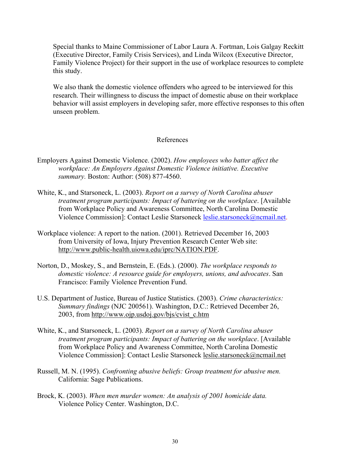Special thanks to Maine Commissioner of Labor Laura A. Fortman, Lois Galgay Reckitt (Executive Director, Family Crisis Services), and Linda Wilcox (Executive Director, Family Violence Project) for their support in the use of workplace resources to complete this study.

We also thank the domestic violence offenders who agreed to be interviewed for this research. Their willingness to discuss the impact of domestic abuse on their workplace behavior will assist employers in developing safer, more effective responses to this often unseen problem.

#### References

- Employers Against Domestic Violence. (2002). *How employees who batter affect the workplace: An Employers Against Domestic Violence initiative. Executive summary.* Boston: Author: (508) 877-4560.
- White, K., and Starsoneck, L. (2003). *Report on a survey of North Carolina abuser treatment program participants: Impact of battering on the workplace*. [Available from Workplace Policy and Awareness Committee, North Carolina Domestic Violence Commission]: Contact Leslie Starsoneck [leslie.starsoneck@ncmail.net.](mailto:leslie.starsoneck@ncmail.net)
- Workplace violence: A report to the nation. (2001). Retrieved December 16, 2003 from University of Iowa, Injury Prevention Research Center Web site: [http://www.public-health.uiowa.edu/iprc/N](http://www.public-health.uiowa.edu/iprc/)ATION.PDF.
- Norton, D., Moskey, S., and Bernstein, E. (Eds.). (2000). *The workplace responds to domestic violence: A resource guide for employers, unions, and advocates*. San Francisco: Family Violence Prevention Fund.
- U.S. Department of Justice, Bureau of Justice Statistics. (2003). *Crime characteristics: Summary findings* (NJC 200561). Washington, D.C.: Retrieved December 26, 2003, from http://www.ojp.usdoj.gov/bjs/cvist\_c.htm
- White, K., and Starsoneck, L. (2003). *Report on a survey of North Carolina abuser treatment program participants: Impact of battering on the workplace*. [Available from Workplace Policy and Awareness Committee, North Carolina Domestic Violence Commission]: Contact Leslie Starsoneck [leslie.starsoneck@ncmail.net](mailto:leslie.starsoneck@ncmail.net)
- Russell, M. N. (1995). *Confronting abusive beliefs: Group treatment for abusive men.* California: Sage Publications.
- Brock, K. (2003). *When men murder women: An analysis of 2001 homicide data.*  Violence Policy Center. Washington, D.C.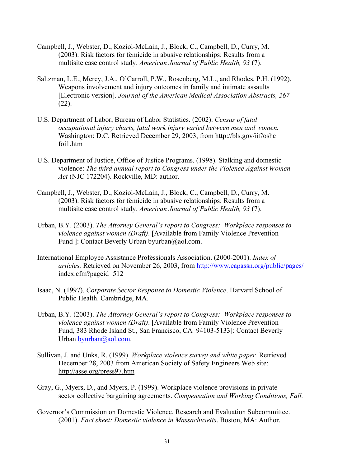- Campbell, J., Webster, D., Koziol-McLain, J., Block, C., Campbell, D., Curry, M. (2003). Risk factors for femicide in abusive relationships: Results from a multisite case control study. *American Journal of Public Health, 93* (7).
- Saltzman, L.E., Mercy, J.A., O'Carroll, P.W., Rosenberg, M.L., and Rhodes, P.H. (1992). Weapons involvement and injury outcomes in family and intimate assaults [Electronic version]. *Journal of the American Medical Association Abstracts, 267* (22).
- U.S. Department of Labor, Bureau of Labor Statistics. (2002). *Census of fatal occupational injury charts, fatal work injury varied between men and women.* Washington: D.C. Retrieved December 29, 2003, from [http://bls.gov/iif/oshc](http://bls.gov/iif/oshc    foi1.htm)  [foi1.htm](http://bls.gov/iif/oshc    foi1.htm)
- U.S. Department of Justice, Office of Justice Programs. (1998). Stalking and domestic violence: *The third annual report to Congress under the Violence Against Women Act* (NJC 172204). Rockville, MD: author.
- Campbell, J., Webster, D., Koziol-McLain, J., Block, C., Campbell, D., Curry, M. (2003). Risk factors for femicide in abusive relationships: Results from a multisite case control study. *American Journal of Public Health, 93* (7).
- Urban, B.Y. (2003). *The Attorney General's report to Congress: Workplace responses to violence against women (Draft)*. [Available from Family Violence Prevention Fund ]: Contact Beverly Urban byurban@aol.com.
- International Employee Assistance Professionals Association. (2000-2001). *Index of articles.* Retrieved on November 26, 2003, from <http://www.eapassn.org/public/pages/> index.cfm?pageid=512
- Isaac, N. (1997). *Corporate Sector Response to Domestic Violence*. Harvard School of Public Health. Cambridge, MA.
- Urban, B.Y. (2003). *The Attorney General's report to Congress: Workplace responses to violence against women (Draft)*. [Available from Family Violence Prevention Fund, 383 Rhode Island St., San Francisco, CA 94103-5133]: Contact Beverly Urban [byurban@aol.com.](mailto:byurban@aol.com)
- Sullivan, J. and Unks, R. (1999). *Workplace violence survey and white paper.* Retrieved December 28, 2003 from American Society of Safety Engineers Web site: http://asse.org/press97.htm
- Gray, G., Myers, D., and Myers, P. (1999). Workplace violence provisions in private sector collective bargaining agreements. *Compensation and Working Conditions, Fall.*
- Governor's Commission on Domestic Violence, Research and Evaluation Subcommittee. (2001). *Fact sheet: Domestic violence in Massachusetts*. Boston, MA: Author.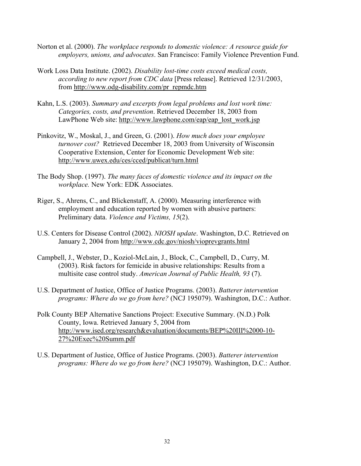- Norton et al. (2000). *The workplace responds to domestic violence: A resource guide for employers, unions, and advocates*. San Francisco: Family Violence Prevention Fund.
- Work Loss Data Institute. (2002). *Disability lost-time costs exceed medical costs, according to new report from CDC data* [Press release]. Retrieved 12/31/2003, from [http://www.odg-disability.com/pr\\_repmdc.htm](http://www.odg-disability.com/pr_repmdc.htm)
- Kahn, L.S. (2003). *Summary and excerpts from legal problems and lost work time: Categories, costs, and prevention*. Retrieved December 18, 2003 from LawPhone Web site: [http://www.lawphone.com/eap/eap\\_lost\\_work.jsp](http://www.lawphone.com/eap/eap_lost_work.jsp)
- Pinkovitz, W., Moskal, J., and Green, G. (2001). *How much does your employee turnover cost?* Retrieved December 18, 2003 from University of Wisconsin Cooperative Extension, Center for Economic Development Web site: http://[www.uwex.edu/ces/cced/publicat/turn.html](http://www.uwex.edu/ces/cced/publicat/turn.html)
- The Body Shop. (1997). *The many faces of domestic violence and its impact on the workplace.* New York: EDK Associates.
- Riger, S., Ahrens, C., and Blickenstaff, A. (2000). Measuring interference with employment and education reported by women with abusive partners: Preliminary data. *Violence and Victims, 15*(2).
- U.S. Centers for Disease Control (2002). *NIOSH update*. Washington, D.C. Retrieved on January 2, 2004 from http://www.cdc.gov/niosh/vioprevgrants.html
- Campbell, J., Webster, D., Koziol-McLain, J., Block, C., Campbell, D., Curry, M. (2003). Risk factors for femicide in abusive relationships: Results from a multisite case control study. *American Journal of Public Health, 93* (7).
- U.S. Department of Justice, Office of Justice Programs. (2003). *Batterer intervention programs: Where do we go from here?* (NCJ 195079). Washington, D.C.: Author.
- Polk County BEP Alternative Sanctions Project: Executive Summary. (N.D.) Polk County, Iowa. Retrieved January 5, 2004 from <http://www.ised.org/research&evaluation/>documents/BEP%20III%2000-10- 27%20Exec%20Summ.pdf
- U.S. Department of Justice, Office of Justice Programs. (2003). *Batterer intervention programs: Where do we go from here?* (NCJ 195079). Washington, D.C.: Author.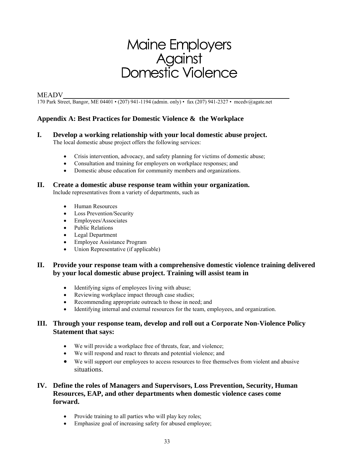# Maine Employers<br>Against<br>Domestic Violence

#### MEADV*\_\_\_\_\_\_\_\_\_\_\_\_\_\_\_\_\_\_\_\_\_\_\_\_\_\_\_\_\_\_\_\_\_\_\_\_\_\_\_\_\_\_\_\_\_\_\_\_\_\_\_\_\_\_\_\_\_\_\_\_\_\_\_\_*

170 Park Street, Bangor, ME 04401 • (207) 941-1194 (admin. only) • fax (207) 941-2327 • mcedv@agate.net

#### **Appendix A: Best Practices for Domestic Violence & the Workplace**

#### **I. Develop a working relationship with your local domestic abuse project.**

The local domestic abuse project offers the following services:

- Crisis intervention, advocacy, and safety planning for victims of domestic abuse;
- Consultation and training for employers on workplace responses; and
- Domestic abuse education for community members and organizations.

#### **II. Create a domestic abuse response team within your organization.**

Include representatives from a variety of departments, such as

- Human Resources
- **Loss Prevention/Security**
- Employees/Associates
- Public Relations
- Legal Department
- Employee Assistance Program
- Union Representative (if applicable)

#### **II. Provide your response team with a comprehensive domestic violence training delivered by your local domestic abuse project. Training will assist team in**

- Identifying signs of employees living with abuse;
- Reviewing workplace impact through case studies;
- Recommending appropriate outreach to those in need; and
- Identifying internal and external resources for the team, employees, and organization.

#### **III. Through your response team, develop and roll out a Corporate Non-Violence Policy Statement that says:**

- We will provide a workplace free of threats, fear, and violence;
- We will respond and react to threats and potential violence; and
- We will support our employees to access resources to free themselves from violent and abusive situations.

#### **IV. Define the roles of Managers and Supervisors, Loss Prevention, Security, Human Resources, EAP, and other departments when domestic violence cases come forward.**

- Provide training to all parties who will play key roles;
- Emphasize goal of increasing safety for abused employee;